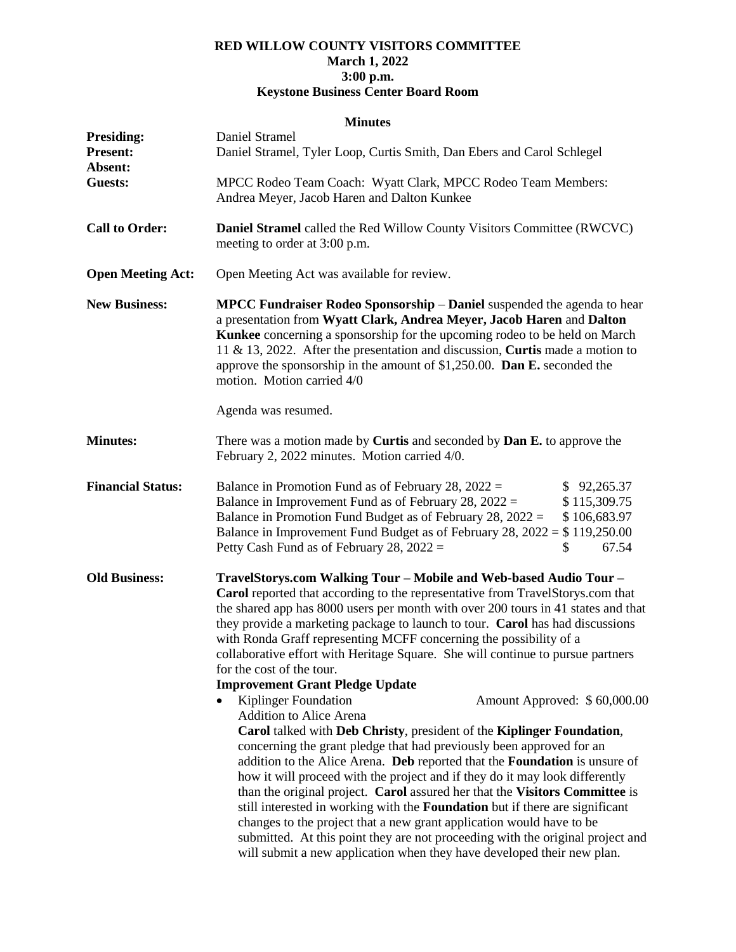## **RED WILLOW COUNTY VISITORS COMMITTEE March 1, 2022 3:00 p.m. Keystone Business Center Board Room**

## **Minutes**

| <b>Presiding:</b><br><b>Present:</b><br>Absent: | Daniel Stramel<br>Daniel Stramel, Tyler Loop, Curtis Smith, Dan Ebers and Carol Schlegel                                                                                                                                                                                                                                                                                                                                                                                                                                                                                                                                                                                                                                                                                                                                                                                                                                                                                                                                                                                                                                                                                                                                                                                                                                                                             |  |  |  |
|-------------------------------------------------|----------------------------------------------------------------------------------------------------------------------------------------------------------------------------------------------------------------------------------------------------------------------------------------------------------------------------------------------------------------------------------------------------------------------------------------------------------------------------------------------------------------------------------------------------------------------------------------------------------------------------------------------------------------------------------------------------------------------------------------------------------------------------------------------------------------------------------------------------------------------------------------------------------------------------------------------------------------------------------------------------------------------------------------------------------------------------------------------------------------------------------------------------------------------------------------------------------------------------------------------------------------------------------------------------------------------------------------------------------------------|--|--|--|
| <b>Guests:</b>                                  | MPCC Rodeo Team Coach: Wyatt Clark, MPCC Rodeo Team Members:<br>Andrea Meyer, Jacob Haren and Dalton Kunkee                                                                                                                                                                                                                                                                                                                                                                                                                                                                                                                                                                                                                                                                                                                                                                                                                                                                                                                                                                                                                                                                                                                                                                                                                                                          |  |  |  |
| <b>Call to Order:</b>                           | Daniel Stramel called the Red Willow County Visitors Committee (RWCVC)<br>meeting to order at 3:00 p.m.                                                                                                                                                                                                                                                                                                                                                                                                                                                                                                                                                                                                                                                                                                                                                                                                                                                                                                                                                                                                                                                                                                                                                                                                                                                              |  |  |  |
| <b>Open Meeting Act:</b>                        | Open Meeting Act was available for review.                                                                                                                                                                                                                                                                                                                                                                                                                                                                                                                                                                                                                                                                                                                                                                                                                                                                                                                                                                                                                                                                                                                                                                                                                                                                                                                           |  |  |  |
| <b>New Business:</b>                            | MPCC Fundraiser Rodeo Sponsorship - Daniel suspended the agenda to hear<br>a presentation from Wyatt Clark, Andrea Meyer, Jacob Haren and Dalton<br>Kunkee concerning a sponsorship for the upcoming rodeo to be held on March<br>11 & 13, 2022. After the presentation and discussion, Curtis made a motion to<br>approve the sponsorship in the amount of \$1,250.00. Dan E. seconded the<br>motion. Motion carried 4/0<br>Agenda was resumed.                                                                                                                                                                                                                                                                                                                                                                                                                                                                                                                                                                                                                                                                                                                                                                                                                                                                                                                     |  |  |  |
| <b>Minutes:</b>                                 | There was a motion made by <b>Curtis</b> and seconded by <b>Dan E.</b> to approve the<br>February 2, 2022 minutes. Motion carried 4/0.                                                                                                                                                                                                                                                                                                                                                                                                                                                                                                                                                                                                                                                                                                                                                                                                                                                                                                                                                                                                                                                                                                                                                                                                                               |  |  |  |
| <b>Financial Status:</b>                        | Balance in Promotion Fund as of February 28, $2022 =$<br>\$92,265.37<br>Balance in Improvement Fund as of February 28, $2022 =$<br>\$115,309.75<br>Balance in Promotion Fund Budget as of February 28, $2022 =$<br>\$106,683.97<br>Balance in Improvement Fund Budget as of February 28, $2022 = $119,250.00$<br>\$<br>Petty Cash Fund as of February 28, $2022 =$<br>67.54                                                                                                                                                                                                                                                                                                                                                                                                                                                                                                                                                                                                                                                                                                                                                                                                                                                                                                                                                                                          |  |  |  |
| <b>Old Business:</b>                            | TravelStorys.com Walking Tour - Mobile and Web-based Audio Tour -<br>Carol reported that according to the representative from TravelStorys.com that<br>the shared app has 8000 users per month with over 200 tours in 41 states and that<br>they provide a marketing package to launch to tour. Carol has had discussions<br>with Ronda Graff representing MCFF concerning the possibility of a<br>collaborative effort with Heritage Square. She will continue to pursue partners<br>for the cost of the tour.<br><b>Improvement Grant Pledge Update</b><br>Kiplinger Foundation<br>Amount Approved: \$60,000.00<br><b>Addition to Alice Arena</b><br>Carol talked with Deb Christy, president of the Kiplinger Foundation,<br>concerning the grant pledge that had previously been approved for an<br>addition to the Alice Arena. Deb reported that the Foundation is unsure of<br>how it will proceed with the project and if they do it may look differently<br>than the original project. Carol assured her that the Visitors Committee is<br>still interested in working with the Foundation but if there are significant<br>changes to the project that a new grant application would have to be<br>submitted. At this point they are not proceeding with the original project and<br>will submit a new application when they have developed their new plan. |  |  |  |